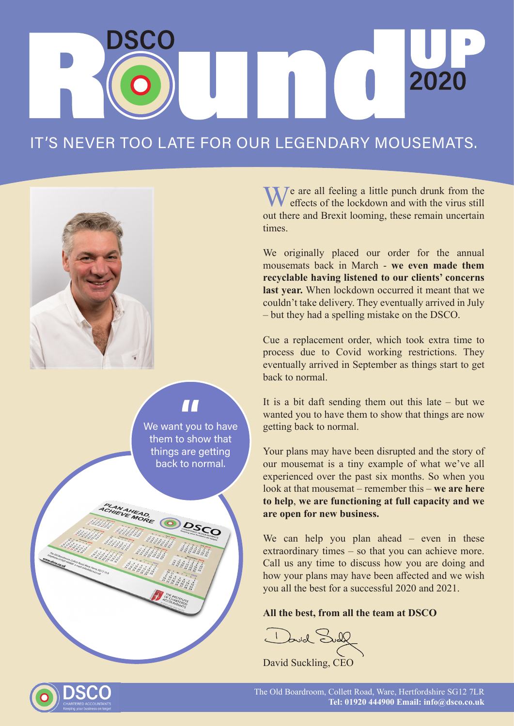## 2020

## IT'S NEVER TOO LATE FOR OUR LEGENDARY MOUSEMATS.



We want you to have them to show that things are getting back to normal.  $\overline{\mathbf{H}}$ 

**PLAN AHEAD.**<br>CHIENE MORE **ODSSO** 

We are all feeling a little punch drunk from the effects of the lockdown and with the virus still out there and Brexit looming, these remain uncertain times.

We originally placed our order for the annual mousemats back in March - **we even made them recyclable having listened to our clients' concerns last year.** When lockdown occurred it meant that we couldn't take delivery. They eventually arrived in July – but they had a spelling mistake on the DSCO.

Cue a replacement order, which took extra time to process due to Covid working restrictions. They eventually arrived in September as things start to get back to normal.

It is a bit daft sending them out this late  $-$  but we wanted you to have them to show that things are now getting back to normal.

Your plans may have been disrupted and the story of our mousemat is a tiny example of what we've all experienced over the past six months. So when you look at that mousemat – remember this – **we are here to help**, **we are functioning at full capacity and we are open for new business.**

We can help you plan ahead – even in these extraordinary times – so that you can achieve more. Call us any time to discuss how you are doing and how your plans may have been affected and we wish you all the best for a successful 2020 and 2021.

## **All the best, from all the team at DSCO**

1 Povid Sull

David Suckling, CEO



The Old Boardroom, Collett Road, Ware, Hertfordshire SG12 7LR **Tel: 01920 444900 Email: info@dsco.co.uk**